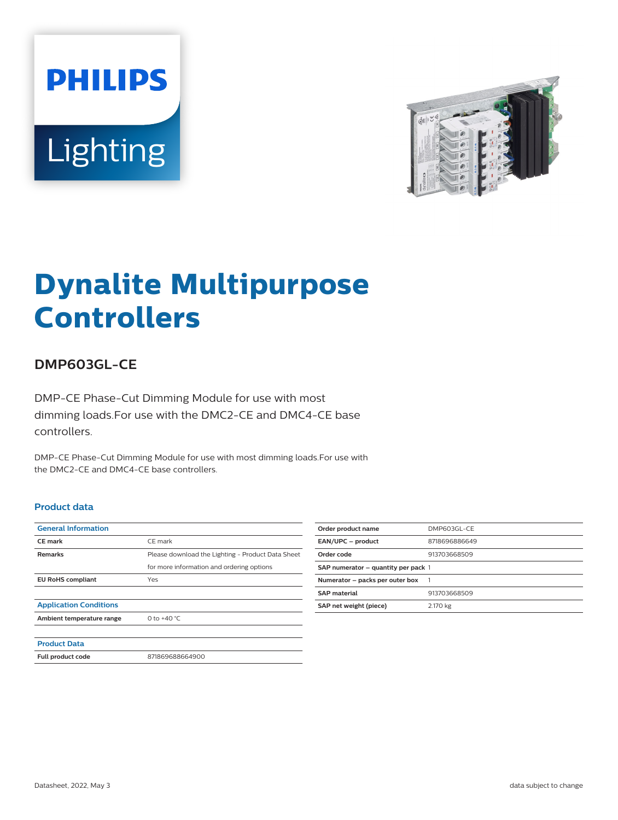



# **Dynalite Multipurpose Controllers**

## **DMP603GL-CE**

DMP-CE Phase-Cut Dimming Module for use with most dimming loads.For use with the DMC2-CE and DMC4-CE base controllers.

DMP-CE Phase-Cut Dimming Module for use with most dimming loads.For use with the DMC2-CE and DMC4-CE base controllers.

#### **Product data**

| <b>General Information</b>    |                                                   |
|-------------------------------|---------------------------------------------------|
| <b>CE</b> mark                | CE mark                                           |
| <b>Remarks</b>                | Please download the Lighting - Product Data Sheet |
|                               | for more information and ordering options         |
| <b>EU RoHS compliant</b>      | Yes                                               |
|                               |                                                   |
| <b>Application Conditions</b> |                                                   |
| Ambient temperature range     | 0 to $+40 °C$                                     |
|                               |                                                   |
| <b>Product Data</b>           |                                                   |
| Full product code             | 871869688664900                                   |

| Order product name                  | DMP603GL-CE   |
|-------------------------------------|---------------|
| EAN/UPC - product                   | 8718696886649 |
| Order code                          | 913703668509  |
| SAP numerator – quantity per pack 1 |               |
| Numerator - packs per outer box     | -1            |
| <b>SAP</b> material                 | 913703668509  |
| SAP net weight (piece)              | 2.170 kg      |
|                                     |               |